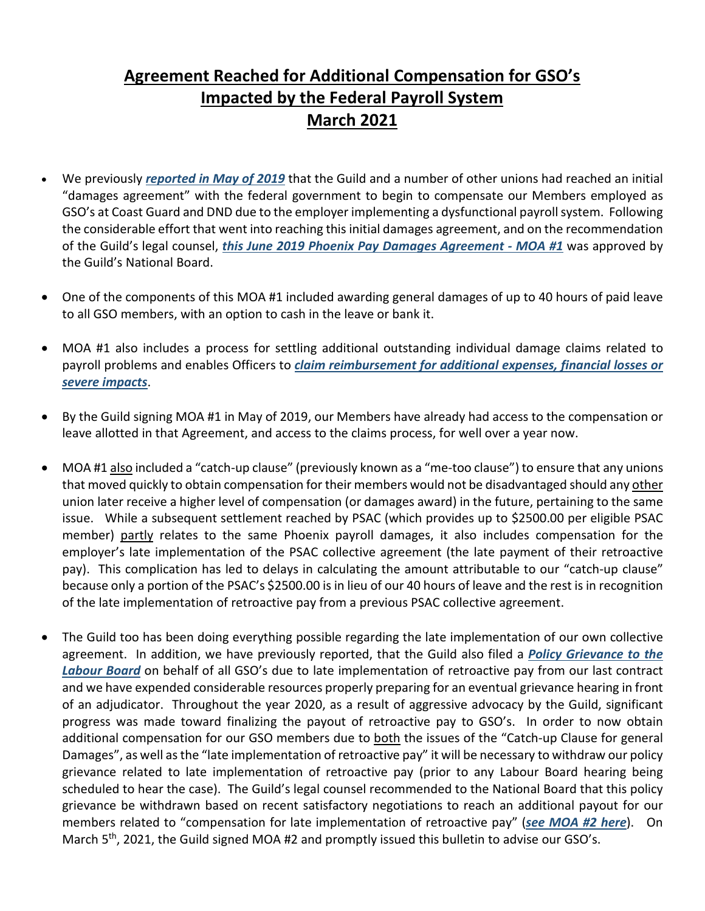## **Agreement Reached for Additional Compensation for GSO's Impacted by the Federal Payroll System March 2021**

- We previously *[reported in May of 2019](https://www.cmsg-gmmc.ca/index.php/en/hidden-docman-menu/english/newsroom-en/750-federal-unions-including-cmsg-approve-agreement-on-phoenix-damages-may-2019-2)* that the Guild and a number of other unions had reached an initial "damages agreement" with the federal government to begin to compensate our Members employed as GSO's at Coast Guard and DND due to the employer implementing a dysfunctional payroll system. Following the considerable effort that went into reaching this initial damages agreement, and on the recommendation of the Guild's legal counsel, *this [June 2019 Phoenix Pay Damages Agreement -](https://www.canada.ca/en/treasury-board-secretariat/topics/pay/phoenix-pay-system/damages-caused-phoenix-pay-system.html) MOA #1* was approved by the Guild's National Board.
- One of the components of this MOA #1 included awarding general damages of up to 40 hours of paid leave to all GSO members, with an option to cash in the leave or bank it.
- MOA #1 also includes a process for settling additional outstanding individual damage claims related to payroll problems and enables Officers to *[claim reimbursement for additional expenses, financial losses](https://www.canada.ca/en/treasury-board-secretariat/services/pay/compensation-severe-impacts.html) or severe [impacts](https://www.canada.ca/en/treasury-board-secretariat/services/pay/compensation-severe-impacts.html)*.
- By the Guild signing MOA #1 in May of 2019, our Members have already had access to the compensation or leave allotted in that Agreement, and access to the claims process, for well over a year now.
- MOA #1 also included a "catch-up clause" (previously known as a "me-too clause") to ensure that any unions that moved quickly to obtain compensation for their members would not be disadvantaged should any other union later receive a higher level of compensation (or damages award) in the future, pertaining to the same issue. While a subsequent settlement reached by PSAC (which provides up to \$2500.00 per eligible PSAC member) partly relates to the same Phoenix payroll damages, it also includes compensation for the employer's late implementation of the PSAC collective agreement (the late payment of their retroactive pay). This complication has led to delays in calculating the amount attributable to our "catch-up clause" because only a portion of the PSAC's \$2500.00 is in lieu of our 40 hours of leave and the rest is in recognition of the late implementation of retroactive pay from a previous PSAC collective agreement.
- The Guild too has been doing everything possible regarding the late implementation of our own collective agreement. In addition, we have previously reported, that the Guild also filed a *[Policy Grievance to the](https://www.cmsg-gmmc.ca/index.php/en/hidden-docman-menu/english/newsroom-en/757-gso-award-not-implemented-guild-files-policy-grievance-17-may-2019)  [Labour Board](https://www.cmsg-gmmc.ca/index.php/en/hidden-docman-menu/english/newsroom-en/757-gso-award-not-implemented-guild-files-policy-grievance-17-may-2019)* on behalf of all GSO's due to late implementation of retroactive pay from our last contract and we have expended considerable resources properly preparing for an eventual grievance hearing in front of an adjudicator. Throughout the year 2020, as a result of aggressive advocacy by the Guild, significant progress was made toward finalizing the payout of retroactive pay to GSO's. In order to now obtain additional compensation for our GSO members due to **both** the issues of the "Catch-up Clause for general Damages", as well asthe "late implementation of retroactive pay" it will be necessary to withdraw our policy grievance related to late implementation of retroactive pay (prior to any Labour Board hearing being scheduled to hear the case). The Guild's legal counsel recommended to the National Board that this policy grievance be withdrawn based on recent satisfactory negotiations to reach an additional payout for our members related to "compensation for late implementation of retroactive pay" (*see [MOA #2](https://www.cmsg-gmmc.ca/index.php/en/hidden-docman-menu/english/newsroom-en/828-moa-2-additional-compensation-for-gso-s-impacted-by-the-federal-payroll-system-march-2021-1/file) here*). On March 5<sup>th</sup>, 2021, the Guild signed MOA #2 and promptly issued this bulletin to advise our GSO's.